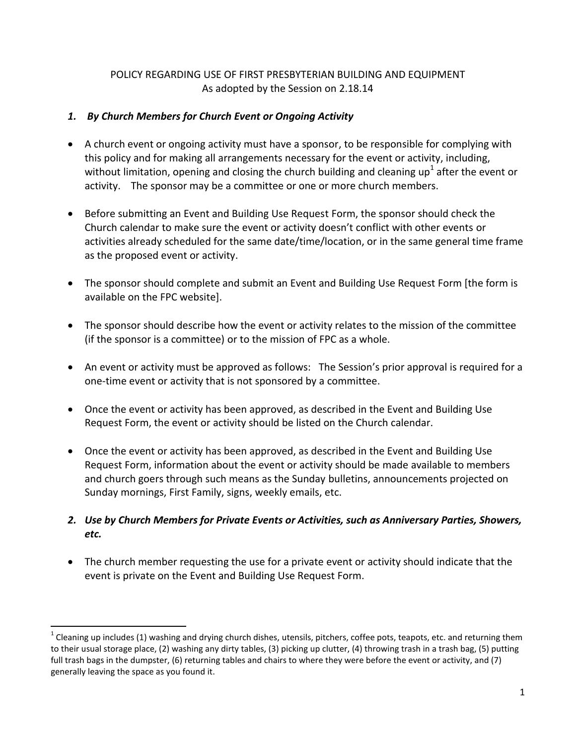### POLICY REGARDING USE OF FIRST PRESBYTERIAN BUILDING AND EQUIPMENT As adopted by the Session on 2.18.14

### *1. By Church Members for Church Event or Ongoing Activity*

- A church event or ongoing activity must have a sponsor, to be responsible for complying with this policy and for making all arrangements necessary for the event or activity, including, without limitation, opening and closing the church building and cleaning up<sup>1</sup> after the event or activity. The sponsor may be a committee or one or more church members.
- Before submitting an Event and Building Use Request Form, the sponsor should check the Church calendar to make sure the event or activity doesn't conflict with other events or activities already scheduled for the same date/time/location, or in the same general time frame as the proposed event or activity.
- The sponsor should complete and submit an Event and Building Use Request Form [the form is available on the FPC website].
- The sponsor should describe how the event or activity relates to the mission of the committee (if the sponsor is a committee) or to the mission of FPC as a whole.
- An event or activity must be approved as follows: The Session's prior approval is required for a one-time event or activity that is not sponsored by a committee.
- Once the event or activity has been approved, as described in the Event and Building Use Request Form, the event or activity should be listed on the Church calendar.
- Once the event or activity has been approved, as described in the Event and Building Use Request Form, information about the event or activity should be made available to members and church goers through such means as the Sunday bulletins, announcements projected on Sunday mornings, First Family, signs, weekly emails, etc.

# *2. Use by Church Members for Private Events or Activities, such as Anniversary Parties, Showers, etc.*

 The church member requesting the use for a private event or activity should indicate that the event is private on the Event and Building Use Request Form.

 $\overline{a}$ 

 $^1$  Cleaning up includes (1) washing and drying church dishes, utensils, pitchers, coffee pots, teapots, etc. and returning them to their usual storage place, (2) washing any dirty tables, (3) picking up clutter, (4) throwing trash in a trash bag, (5) putting full trash bags in the dumpster, (6) returning tables and chairs to where they were before the event or activity, and (7) generally leaving the space as you found it.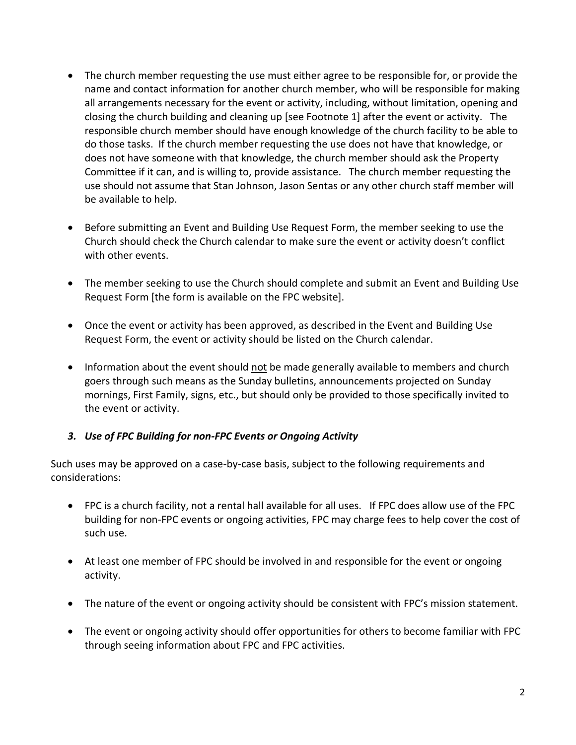- The church member requesting the use must either agree to be responsible for, or provide the name and contact information for another church member, who will be responsible for making all arrangements necessary for the event or activity, including, without limitation, opening and closing the church building and cleaning up [see Footnote 1] after the event or activity. The responsible church member should have enough knowledge of the church facility to be able to do those tasks. If the church member requesting the use does not have that knowledge, or does not have someone with that knowledge, the church member should ask the Property Committee if it can, and is willing to, provide assistance. The church member requesting the use should not assume that Stan Johnson, Jason Sentas or any other church staff member will be available to help.
- Before submitting an Event and Building Use Request Form, the member seeking to use the Church should check the Church calendar to make sure the event or activity doesn't conflict with other events.
- The member seeking to use the Church should complete and submit an Event and Building Use Request Form [the form is available on the FPC website].
- Once the event or activity has been approved, as described in the Event and Building Use Request Form, the event or activity should be listed on the Church calendar.
- Information about the event should not be made generally available to members and church goers through such means as the Sunday bulletins, announcements projected on Sunday mornings, First Family, signs, etc., but should only be provided to those specifically invited to the event or activity.

# *3. Use of FPC Building for non-FPC Events or Ongoing Activity*

Such uses may be approved on a case-by-case basis, subject to the following requirements and considerations:

- FPC is a church facility, not a rental hall available for all uses. If FPC does allow use of the FPC building for non-FPC events or ongoing activities, FPC may charge fees to help cover the cost of such use.
- At least one member of FPC should be involved in and responsible for the event or ongoing activity.
- The nature of the event or ongoing activity should be consistent with FPC's mission statement.
- The event or ongoing activity should offer opportunities for others to become familiar with FPC through seeing information about FPC and FPC activities.